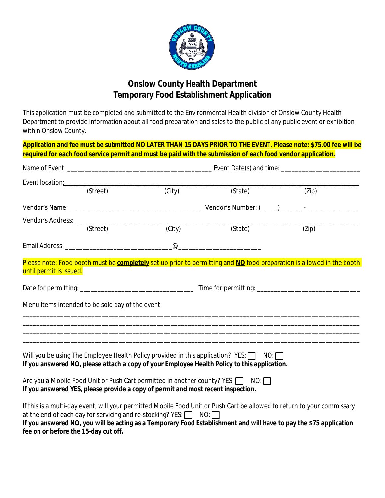

# **Onslow County Health Department Temporary Food Establishment Application**

This application must be completed and submitted to the Environmental Health division of Onslow County Health Department to provide information about all food preparation and sales to the public at any public event or exhibition within Onslow County.

|                                      |                                                  |                                                                                                                                        | Application and fee must be submitted NO LATER THAN 15 DAYS PRIOR TO THE EVENT. Please note: \$75.00 fee will be<br>required for each food service permit and must be paid with the submission of each food vendor application.                                                                                                                                                                                                                                                                               |       |  |  |
|--------------------------------------|--------------------------------------------------|----------------------------------------------------------------------------------------------------------------------------------------|---------------------------------------------------------------------------------------------------------------------------------------------------------------------------------------------------------------------------------------------------------------------------------------------------------------------------------------------------------------------------------------------------------------------------------------------------------------------------------------------------------------|-------|--|--|
|                                      |                                                  |                                                                                                                                        |                                                                                                                                                                                                                                                                                                                                                                                                                                                                                                               |       |  |  |
|                                      | (Street)                                         | Event location: example and the state of the state of the state of the state of the state of the state of the<br>$\overline{C}$ (City) | (State)                                                                                                                                                                                                                                                                                                                                                                                                                                                                                                       | (Zip) |  |  |
|                                      |                                                  |                                                                                                                                        |                                                                                                                                                                                                                                                                                                                                                                                                                                                                                                               |       |  |  |
|                                      | (Street)                                         | (City)                                                                                                                                 | (State)                                                                                                                                                                                                                                                                                                                                                                                                                                                                                                       | (Zip) |  |  |
|                                      |                                                  |                                                                                                                                        | $\overline{\omega}$ $\overline{\omega}$ $\overline{\omega}$ $\overline{\omega}$ $\overline{\omega}$ $\overline{\omega}$ $\overline{\omega}$ $\overline{\omega}$ $\overline{\omega}$ $\overline{\omega}$ $\overline{\omega}$ $\overline{\omega}$ $\overline{\omega}$ $\overline{\omega}$ $\overline{\omega}$ $\overline{\omega}$ $\overline{\omega}$ $\overline{\omega}$ $\overline{\omega}$ $\overline{\omega}$ $\overline{\omega}$ $\overline{\omega}$ $\overline{\omega}$ $\overline{\omega}$ $\overline{\$ |       |  |  |
|                                      | Menu Items intended to be sold day of the event: |                                                                                                                                        | ,我们也不会有什么?""我们的人,我们也不会有什么?""我们的人,我们也不会有什么?""我们的人,我们也不会有什么?""我们的人,我们也不会有什么?""我们的人<br>,我们也不会有什么。""我们的人,我们也不会有什么?""我们的人,我们也不会有什么?""我们的人,我们也不会有什么?""我们的人,我们也不会有什么?""我们的人                                                                                                                                                                                                                                                                                                                                          |       |  |  |
|                                      |                                                  |                                                                                                                                        | Will you be using The Employee Health Policy provided in this application? $YES: \Box \quad NO: \Box$<br>If you answered NO, please attach a copy of your Employee Health Policy to this application.                                                                                                                                                                                                                                                                                                         |       |  |  |
|                                      |                                                  | If you answered YES, please provide a copy of permit and most recent inspection.                                                       | Are you a Mobile Food Unit or Push Cart permitted in another county? YES: NO:                                                                                                                                                                                                                                                                                                                                                                                                                                 |       |  |  |
| fee on or before the 15-day cut off. |                                                  | at the end of each day for servicing and re-stocking? YES: NO: NO:                                                                     | If this is a multi-day event, will your permitted Mobile Food Unit or Push Cart be allowed to return to your commissary<br>If you answered NO, you will be acting as a Temporary Food Establishment and will have to pay the \$75 application                                                                                                                                                                                                                                                                 |       |  |  |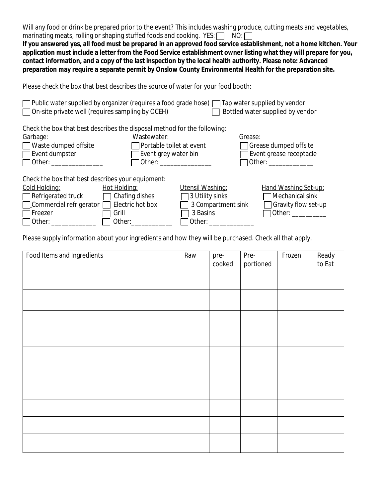Will any food or drink be prepared prior to the event? This includes washing produce, cutting meats and vegetables, marinating meats, rolling or shaping stuffed foods and cooking. YES:  $\Box$  NO:  $\Box$ **If you answered yes, all food must be prepared in an approved food service establishment, not a home kitchen. Your application must include a letter from the Food Service establishment owner listing what they will prepare for you, contact information, and a copy of the last inspection by the local health authority. Please note: Advanced preparation may require a separate permit by Onslow County Environmental Health for the preparation site.** Please check the box that best describes the source of water for your food booth:  $\Box$  Public water supplied by organizer (requires a food grade hose)  $\Box$  Tap water supplied by vendor  $\Box$  On-site private well (requires sampling by OCEH)  $\Box$  Bottled water supplied by vendor Check the box that best describes the disposal method for the following: Garbage: Wastewater:

| $\Box$ Waste dumped offsite |
|-----------------------------|
| $\Box$ Evant dumnetar       |

| <u>arbage:</u>       | Wastewater:                     | Grease:                        |
|----------------------|---------------------------------|--------------------------------|
| Waste dumped offsite | $\Box$ Portable toilet at event | $\Box$ Grease dumped offsite   |
| ∏Event dumpster      | $\Box$ Event grey water bin     | $\Box$ Event grease receptacle |
| 10ther:              | □ Other:                        | □ Other:                       |
|                      |                                 |                                |

Check the box that best describes your equipment:

| <u> Cold Holding:</u>                                  | Hot Holding:          | Utensil Washing:          | Hand Washing Set-up:       |
|--------------------------------------------------------|-----------------------|---------------------------|----------------------------|
| $\Box$ Refrigerated truck                              | $\Box$ Chafing dishes | $\Box$ 3 Utility sinks    | $\Box$ Mechanical sink     |
| $\Box$ Commercial refrigerator $\Box$ Electric hot box |                       | $\Box$ 3 Compartment sink | $\Box$ Gravity flow set-up |
| $\Box$ Freezer                                         | Grill                 | $\Box$ 3 Basins           | $\Box$ Other: $\Box$       |
| $\Box$ Other:                                          | $\Box$ Other:         | □ Other:                  |                            |
|                                                        |                       |                           |                            |

Please supply information about your ingredients and how they will be purchased. Check all that apply.

| Food Items and Ingredients | Raw | pre-<br>cooked | Pre-<br>portioned | Frozen | Ready<br>to Eat |
|----------------------------|-----|----------------|-------------------|--------|-----------------|
|                            |     |                |                   |        |                 |
|                            |     |                |                   |        |                 |
|                            |     |                |                   |        |                 |
|                            |     |                |                   |        |                 |
|                            |     |                |                   |        |                 |
|                            |     |                |                   |        |                 |
|                            |     |                |                   |        |                 |
|                            |     |                |                   |        |                 |
|                            |     |                |                   |        |                 |
|                            |     |                |                   |        |                 |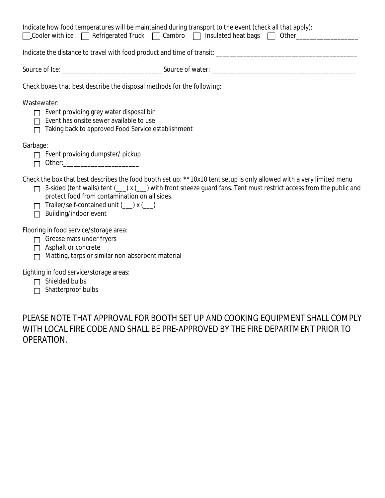|               | Indicate how food temperatures will be maintained during transport to the event (check all that apply):<br>□ Cooler with ice □ Refrigerated Truck □ Cambro □ Insulated heat bags □ Other                                                                                                                                                                                                                            |  |
|---------------|---------------------------------------------------------------------------------------------------------------------------------------------------------------------------------------------------------------------------------------------------------------------------------------------------------------------------------------------------------------------------------------------------------------------|--|
|               |                                                                                                                                                                                                                                                                                                                                                                                                                     |  |
|               |                                                                                                                                                                                                                                                                                                                                                                                                                     |  |
|               | Check boxes that best describe the disposal methods for the following:                                                                                                                                                                                                                                                                                                                                              |  |
|               | Wastewater:<br>$\Box$ Event providing grey water disposal bin<br>$\Box$ Event has onsite sewer available to use<br>□ Taking back to approved Food Service establishment                                                                                                                                                                                                                                             |  |
| Garbage:<br>П | Event providing dumpster/ pickup                                                                                                                                                                                                                                                                                                                                                                                    |  |
| П<br>П        | Check the box that best describes the food booth set up: **10x10 tent setup is only allowed with a very limited menu<br>3-sided (tent walls) tent ( u) x ( u) with front sneeze guard fans. Tent must restrict access from the public and<br>protect food from contamination on all sides.<br>Trailer/self-contained unit ( umix ( umix ( umix ( umix ( umix ( umix ( umix ( umix ( umix (<br>Building/indoor event |  |
| П             | Flooring in food service/storage area:<br>Grease mats under fryers<br>$\Box$ Asphalt or concrete<br>Matting, tarps or similar non-absorbent material                                                                                                                                                                                                                                                                |  |
| П             | Lighting in food service/storage areas:<br>Shielded bulbs<br>Shatterproof bulbs                                                                                                                                                                                                                                                                                                                                     |  |

PLEASE NOTE THAT APPROVAL FOR BOOTH SET UP AND COOKING EQUIPMENT SHALL COMPLY WITH LOCAL FIRE CODE AND SHALL BE PRE-APPROVED BY THE FIRE DEPARTMENT PRIOR TO OPERATION.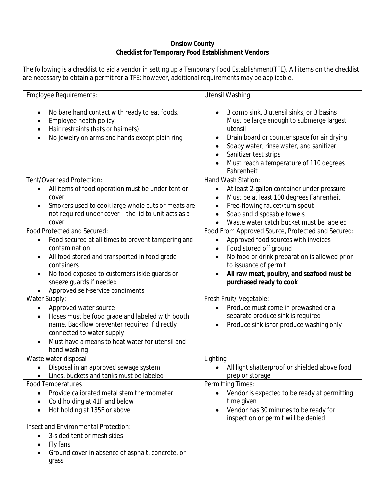# **Onslow County Checklist for Temporary Food Establishment Vendors**

The following is a checklist to aid a vendor in setting up a Temporary Food Establishment(TFE). All items on the checklist are necessary to obtain a permit for a TFE: however, additional requirements may be applicable.

| <b>Employee Requirements:</b>                                                                                                                                                                                                                                  | Utensil Washing:                                                                                                                                                                                                                                                             |  |  |
|----------------------------------------------------------------------------------------------------------------------------------------------------------------------------------------------------------------------------------------------------------------|------------------------------------------------------------------------------------------------------------------------------------------------------------------------------------------------------------------------------------------------------------------------------|--|--|
| No bare hand contact with ready to eat foods.<br>Employee health policy<br>Hair restraints (hats or hairnets)<br>No jewelry on arms and hands except plain ring                                                                                                | 3 comp sink, 3 utensil sinks, or 3 basins<br>Must be large enough to submerge largest<br>utensil<br>Drain board or counter space for air drying<br>Soapy water, rinse water, and sanitizer<br>Sanitizer test strips<br>Must reach a temperature of 110 degrees<br>Fahrenheit |  |  |
| Tent/Overhead Protection:                                                                                                                                                                                                                                      | Hand Wash Station:                                                                                                                                                                                                                                                           |  |  |
| All items of food operation must be under tent or<br>cover<br>Smokers used to cook large whole cuts or meats are<br>not required under cover - the lid to unit acts as a<br>cover                                                                              | At least 2-gallon container under pressure<br>$\bullet$<br>Must be at least 100 degrees Fahrenheit<br>Free-flowing faucet/turn spout<br>Soap and disposable towels<br>Waste water catch bucket must be labeled                                                               |  |  |
| Food Protected and Secured:                                                                                                                                                                                                                                    | Food From Approved Source, Protected and Secured:                                                                                                                                                                                                                            |  |  |
| Food secured at all times to prevent tampering and<br>$\bullet$<br>contamination<br>All food stored and transported in food grade<br>containers<br>No food exposed to customers (side guards or<br>sneeze guards if needed<br>Approved self-service condiments | Approved food sources with invoices<br>Food stored off ground<br>$\bullet$<br>No food or drink preparation is allowed prior<br>to issuance of permit<br>All raw meat, poultry, and seafood must be<br>purchased ready to cook                                                |  |  |
| Water Supply:                                                                                                                                                                                                                                                  | Fresh Fruit/ Vegetable:                                                                                                                                                                                                                                                      |  |  |
| Approved water source<br>$\bullet$<br>Hoses must be food grade and labeled with booth<br>$\bullet$<br>name. Backflow preventer required if directly<br>connected to water supply<br>Must have a means to heat water for utensil and<br>hand washing            | Produce must come in prewashed or a<br>separate produce sink is required<br>Produce sink is for produce washing only                                                                                                                                                         |  |  |
| Waste water disposal                                                                                                                                                                                                                                           | Lighting                                                                                                                                                                                                                                                                     |  |  |
| Disposal in an approved sewage system<br>Lines, buckets and tanks must be labeled                                                                                                                                                                              | All light shatterproof or shielded above food<br>prep or storage                                                                                                                                                                                                             |  |  |
| <b>Food Temperatures</b><br>Provide calibrated metal stem thermometer<br>Cold holding at 41F and below<br>Hot holding at 135F or above                                                                                                                         | Permitting Times:<br>Vendor is expected to be ready at permitting<br>time given<br>Vendor has 30 minutes to be ready for<br>$\bullet$<br>inspection or permit will be denied                                                                                                 |  |  |
| Insect and Environmental Protection:<br>3-sided tent or mesh sides<br>Fly fans<br>Ground cover in absence of asphalt, concrete, or<br>grass                                                                                                                    |                                                                                                                                                                                                                                                                              |  |  |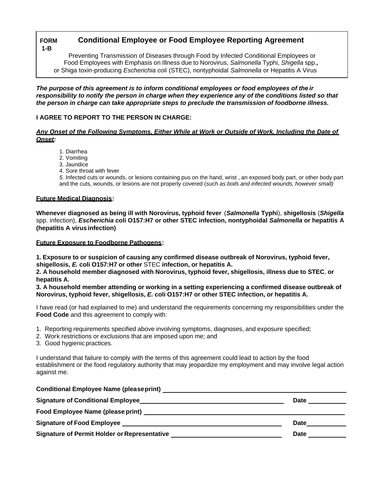#### **Conditional Employee or Food Employee Reporting Agreement FORM**  $1 - B$

Preventing Transmission of Diseases through Food by Infected Conditional Employees or Food Employees with Emphasis on Illness due to Norovirus, Salmonella Typhi, Shigella spp., or Shiga toxin-producing Escherichia coli (STEC), nontyphoidal Salmonella or Hepatitis A Virus

The purpose of this agreement is to inform conditional employees or food employees of the ir responsibility to notify the person in charge when they experience any of the conditions listed so that the person in charge can take appropriate steps to preclude the transmission of foodborne illness.

# I AGREE TO REPORT TO THE PERSON IN CHARGE:

## Any Onset of the Following Symptoms. Either While at Work or Outside of Work. Including the Date of **Onset:**

- 1. Diarrhea
- 2. Vomitina
- 3. Jaundice
- 4. Sore throat with fever

5. Infected cuts or wounds, or lesions containing pus on the hand, wrist, an exposed body part, or other body part and the cuts, wounds, or lesions are not properly covered (such as boils and infected wounds, however small)

### **Future Medical Diagnosis:**

Whenever diagnosed as being ill with Norovirus, typhoid fever (Salmonella Typhi), shigellosis (Shigella spp. infection), Escherichia coli O157:H7 or other STEC infection, nontyphoidal Salmonella or hepatitis A (hepatitis A virus infection)

### **Future Exposure to Foodborne Pathogens:**

1. Exposure to or suspicion of causing any confirmed disease outbreak of Norovirus, typhoid fever, shigellosis, E. coli O157:H7 or other STEC infection, or hepatitis A.

2. A household member diagnosed with Norovirus, typhoid fever, shigellosis, illness due to STEC, or hepatitis A.

3. A household member attending or working in a setting experiencing a confirmed disease outbreak of Norovirus, typhoid fever, shigellosis, E. coli O157:H7 or other STEC infection, or hepatitis A.

I have read (or had explained to me) and understand the requirements concerning my responsibilities under the Food Code and this agreement to comply with:

- 1. Reporting requirements specified above involving symptoms, diagnoses, and exposure specified;
- 2. Work restrictions or exclusions that are imposed upon me; and
- 3. Good hygienic practices.

I understand that failure to comply with the terms of this agreement could lead to action by the food establishment or the food regulatory authority that may jeopardize my employment and may involve legal action against me.

| Conditional Employee Name (please print) Network and Conditional Employee Name (please print)       |             |
|-----------------------------------------------------------------------------------------------------|-------------|
|                                                                                                     | Date        |
|                                                                                                     |             |
| Signature of Food Employee <b>contract the Second Employee</b> and the second state of $\mathbf{F}$ | <b>Date</b> |
| Signature of Permit Holder or Representative                                                        | Date        |